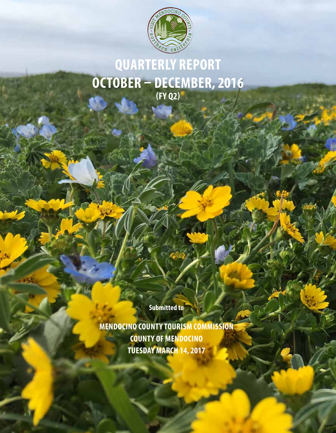

# **QUARTERLY REPORT OCTOBER – DECEMBER, 2016 (FY Q2)**

**Submitted to**

**MENDOCINO COUNTY TOURISM COMMISSION COUNTY OF MENDOCINO TUESDAY MARCH 14, 2017**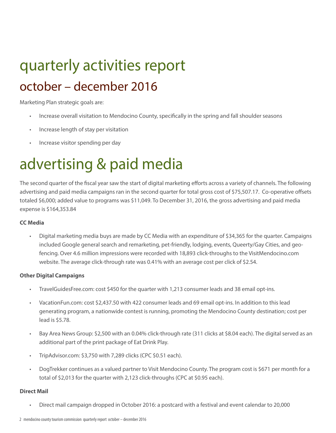# quarterly activities report october – december 2016

Marketing Plan strategic goals are:

- Increase overall visitation to Mendocino County, specifically in the spring and fall shoulder seasons
- Increase length of stay per visitation
- Increase visitor spending per day

# advertising & paid media

The second quarter of the fiscal year saw the start of digital marketing efforts across a variety of channels. The following advertising and paid media campaigns ran in the second quarter for total gross cost of \$75,507.17. Co-operative offsets totaled \$6,000; added value to programs was \$11,049. To December 31, 2016, the gross advertising and paid media expense is \$164,353.84

#### **CC Media**

• Digital marketing media buys are made by CC Media with an expenditure of \$34,365 for the quarter. Campaigns included Google general search and remarketing, pet-friendly, lodging, events, Queerty/Gay Cities, and geofencing. Over 4.6 million impressions were recorded with 18,893 click-throughs to the VisitMendocino.com website. The average click-through rate was 0.41% with an average cost per click of \$2.54.

#### **Other Digital Campaigns**

- TravelGuidesFree.com: cost \$450 for the quarter with 1,213 consumer leads and 38 email opt-ins.
- VacationFun.com: cost \$2,437.50 with 422 consumer leads and 69 email opt-ins. In addition to this lead generating program, a nationwide contest is running, promoting the Mendocino County destination; cost per lead is \$5.78.
- Bay Area News Group: \$2,500 with an 0.04% click-through rate (311 clicks at \$8.04 each). The digital served as an additional part of the print package of Eat Drink Play.
- TripAdvisor.com: \$3,750 with 7,289 clicks (CPC \$0.51 each).
- DogTrekker continues as a valued partner to Visit Mendocino County. The program cost is \$671 per month for a total of \$2,013 for the quarter with 2,123 click-throughs (CPC at \$0.95 each).

#### **Direct Mail**

• Direct mail campaign dropped in October 2016: a postcard with a festival and event calendar to 20,000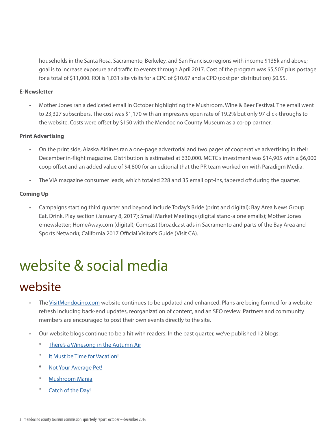households in the Santa Rosa, Sacramento, Berkeley, and San Francisco regions with income \$135k and above; goal is to increase exposure and traffic to events through April 2017. Cost of the program was \$5,507 plus postage for a total of \$11,000. ROI is 1,031 site visits for a CPC of \$10.67 and a CPD (cost per distribution) \$0.55.

#### **E-Newsletter**

• Mother Jones ran a dedicated email in October highlighting the Mushroom, Wine & Beer Festival. The email went to 23,327 subscribers. The cost was \$1,170 with an impressive open rate of 19.2% but only 97 click-throughs to the website. Costs were offset by \$150 with the Mendocino County Museum as a co-op partner.

#### **Print Advertising**

- On the print side, Alaska Airlines ran a one-page advertorial and two pages of cooperative advertising in their December in-flight magazine. Distribution is estimated at 630,000. MCTC's investment was \$14,905 with a \$6,000 coop offset and an added value of \$4,800 for an editorial that the PR team worked on with Paradigm Media.
- The VIA magazine consumer leads, which totaled 228 and 35 email opt-ins, tapered off during the quarter.

#### **Coming Up**

• Campaigns starting third quarter and beyond include Today's Bride (print and digital); Bay Area News Group Eat, Drink, Play section (January 8, 2017); Small Market Meetings (digital stand-alone emails); Mother Jones e-newsletter; HomeAway.com (digital); Comcast (broadcast ads in Sacramento and parts of the Bay Area and Sports Network); California 2017 Official Visitor's Guide (Visit CA).

# website & social media

### website

- The VisitMendocino.com website continues to be updated and enhanced. Plans are being formed for a website refresh including back-end updates, reorganization of content, and an SEO review. Partners and community members are encouraged to post their own events directly to the site.
- Our website blogs continue to be a hit with readers. In the past quarter, we've published 12 blogs:
	- \* There's a Winesong in the Autumn Air
	- It Must be Time for Vacation!
	- Not Your Average Pet!
	- **Mushroom Mania**
	- Catch of the Day!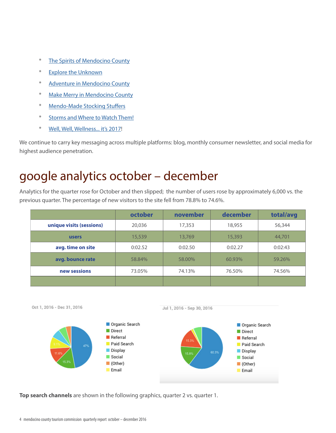- \* The Spirits of Mendocino County
- \* Explore the Unknown
- \* Adventure in Mendocino County
- \* Make Merry in Mendocino County
- Mendo-Made Stocking Stuffers
- \* Storms and Where to Watch Them!
- \* Well, Well, Wellness... it's 2017!

We continue to carry key messaging across multiple platforms: blog, monthly consumer newsletter, and social media for highest audience penetration.

### google analytics october – december

Analytics for the quarter rose for October and then slipped; the number of users rose by approximately 6,000 vs. the previous quarter. The percentage of new visitors to the site fell from 78.8% to 74.6%.

|                          | october | november | december | total/avg |
|--------------------------|---------|----------|----------|-----------|
| unique visits (sessions) | 20,036  | 17,353   | 18,955   | 56,344    |
| <b>users</b>             | 15,539  | 13,769   | 15,393   | 44,701    |
| avg. time on site        | 0:02.52 | 0:02.50  | 0:02.27  | 0:02:43   |
| avg. bounce rate         | 58.84%  | 58.00%   | 60.93%   | 59.26%    |
| new sessions             | 73.05%  | 74.13%   | 76.50%   | 74.56%    |
|                          |         |          |          |           |







**Top search channels** are shown in the following graphics, quarter 2 vs. quarter 1.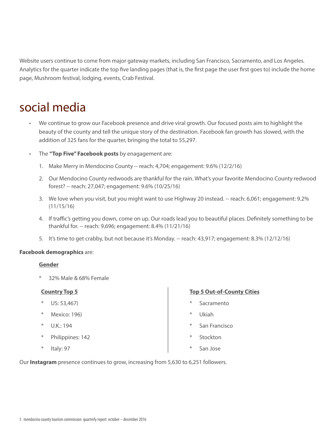Website users continue to come from major gateway markets, including San Francisco, Sacramento, and Los Angeles. Analytics for the quarter indicate the top five landing pages (that is, the first page the user first goes to) include the home page, Mushroom festival, lodging, events, Crab Festival.

### social media

- We continue to grow our Facebook presence and drive viral growth. Our focused posts aim to highlight the beauty of the county and tell the unique story of the destination. Facebook fan growth has slowed, with the addition of 325 fans for the quarter, bringing the total to 55,297.
- The **"Top Five" Facebook posts** by enagagement are:
	- 1. Make Merry in Mendocino County -- reach: 4,704; engagement: 9.6% (12/2/16)
	- 2. Our Mendocino County redwoods are thankful for the rain. What's your favorite Mendocino County redwood forest? -- reach: 27,047; engagement: 9.6% (10/25/16)
	- 3. We love when you visit, but you might want to use Highway 20 instead. -- reach: 6,061; engagement: 9.2% (11/15/16)
	- 4. If traffic's getting you down, come on up. Our roads lead you to beautiful places. Definitely something to be thankful for. -- reach: 9,696; engagement: 8.4% (11/21/16)
	- 5. It's time to get crabby, but not because it's Monday. -- reach: 43,917; engagement: 8.3% (12/12/16)

#### **Facebook demographics** are:

#### **Gender**

32% Male & 68% Female

#### **Country Top 5**

- \* US: 53,467)
- \* Mexico: 196)
- \* U.K.: 194
- Philippines: 142
- \* Italy: 97

#### **Top 5 Out-of-County Cities**

- Sacramento
- **Ukiah**
- San Francisco
- Stockton
- San Jose

Our **Instagram** presence continues to grow, increasing from 5,630 to 6,251 followers.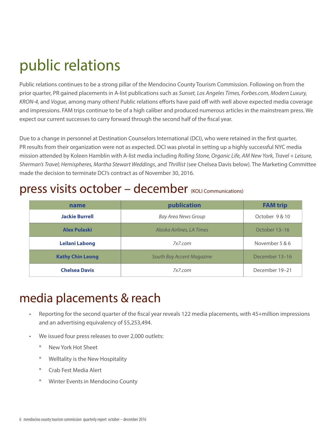# public relations

Public relations continues to be a strong pillar of the Mendocino County Tourism Commission. Following on from the prior quarter, PR gained placements in A-list publications such as *Sunset, Los Angeles Times, Forbes.com, Modern Luxury, KRON-4,* and *Vogue*, among many others! Public relations efforts have paid off with well above expected media coverage and impressions. FAM trips continue to be of a high caliber and produced numerous articles in the mainstream press. We expect our current successes to carry forward through the second half of the fiscal year.

Due to a change in personnel at Destination Counselors International (DCI), who were retained in the first quarter, PR results from their organization were not as expected. DCI was pivotal in setting up a highly successful NYC media mission attended by Koleen Hamblin with A-list media including *Rolling Stone, Organic Life, AM New York, Travel + Leisure, Sherman's Travel; Hemispheres, Martha Stewart Weddings*, and *Thrillist* (see Chelsea Davis below). The Marketing Committee made the decision to terminate DCI's contract as of November 30, 2016.

### press visits october – december (KOLI Communications)

| name                    | publication                | <b>FAM trip</b> |
|-------------------------|----------------------------|-----------------|
| <b>Jackie Burrell</b>   | <b>Bay Area News Group</b> | October 9 & 10  |
| <b>Alex Pulaski</b>     | Alaska Airlines, LA Times  | October 13–16   |
| <b>Leilani Labong</b>   | 7x7.com                    | November 5 & 6  |
| <b>Kathy Chin Leong</b> | South Bay Accent Magazine  | December 13-16  |
| <b>Chelsea Davis</b>    | 7x7.com                    | December 19-21  |

## media placements & reach

- Reporting for the second quarter of the fiscal year reveals 122 media placements, with 45+million impressions and an advertising equivalency of \$5,253,494.
- We issued four press releases to over 2,000 outlets:
	- New York Hot Sheet
	- \* Welltality is the New Hospitality
	- \* Crab Fest Media Alert
	- \* Winter Events in Mendocino County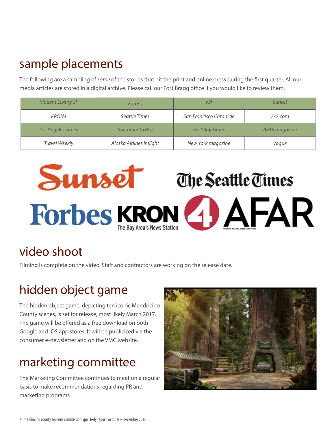### sample placements

The following are a sampling of *some* of the stories that hit the print and online press during the first quarter. All our media articles are stored in a digital archive. Please call our Fort Bragg office if you would like to review them.

| <b>Modern Luxury SF</b> | <b>Forbes</b>            | <b>VIA</b>              | Sunset        |
|-------------------------|--------------------------|-------------------------|---------------|
| KRON4                   | Seattle Times            | San Francisco Chronicle | 7x7.com       |
| Los Angeles Times       | Sacramento Bee           | <b>East Bay Times</b>   | AFAR magazine |
| <b>Travel Weekly</b>    | Alaska Airlines inflight | New York magazine       | Voque         |



## video shoot

Filming is complete on the video. Staff and contractors are working on the release date.

## hidden object game

The hidden object game, depicting ten iconic Mendocino County scenes, is set for release, most likely March 2017. The game will be offered as a free download on both Google and iOS app stores. It will be publicized via the consumer e-newsletter and on the VMC website.

## marketing committee

The Marketing Committee continues to meet on a regular basis to make recommendations regarding PR and marketing programs.

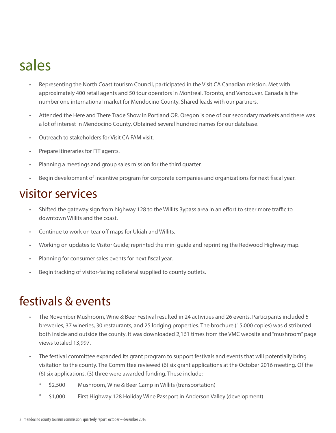# sales

- Representing the North Coast tourism Council, participated in the Visit CA Canadian mission. Met with approximately 400 retail agents and 50 tour operators in Montreal, Toronto, and Vancouver. Canada is the number one international market for Mendocino County. Shared leads with our partners.
- Attended the Here and There Trade Show in Portland OR. Oregon is one of our secondary markets and there was a lot of interest in Mendocino County. Obtained several hundred names for our database.
- Outreach to stakeholders for Visit CA FAM visit.
- Prepare itineraries for FIT agents.
- Planning a meetings and group sales mission for the third quarter.
- Begin development of incentive program for corporate companies and organizations for next fiscal year.

### visitor services

- Shifted the gateway sign from highway 128 to the Willits Bypass area in an effort to steer more traffic to downtown Willits and the coast.
- Continue to work on tear off maps for Ukiah and Willits.
- Working on updates to Visitor Guide; reprinted the mini guide and reprinting the Redwood Highway map.
- Planning for consumer sales events for next fiscal year.
- Begin tracking of visitor-facing collateral supplied to county outlets.

### festivals & events

- The November Mushroom, Wine & Beer Festival resulted in 24 activities and 26 events. Participants included 5 breweries, 37 wineries, 30 restaurants, and 25 lodging properties. The brochure (15,000 copies) was distributed both inside and outside the county. It was downloaded 2,161 times from the VMC website and "mushroom" page views totaled 13,997.
- The festival committee expanded its grant program to support festivals and events that will potentially bring visitation to the county. The Committee reviewed (6) six grant applications at the October 2016 meeting. Of the (6) six applications, (3) three were awarded funding. These include:
	- \$2,500 Mushroom, Wine & Beer Camp in Willits (transportation)
	- \* \$1,000 First Highway 128 Holiday Wine Passport in Anderson Valley (development)